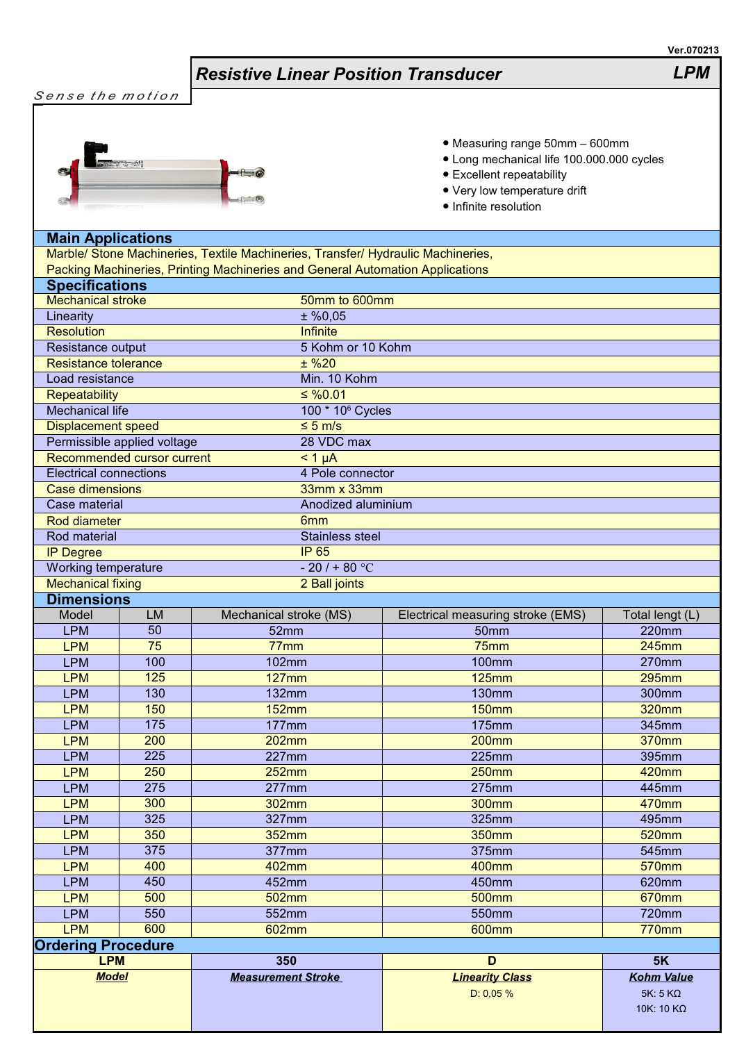## *Resistive Linear Position Transducer LPM*



- Measuring range 50mm 600mm
- Long mechanical life 100.000.000 cycles
- Excellent repeatability
- Very low temperature drift
- Infinite resolution

## **Main Applications**

Marble/ Stone Machineries, Textile Machineries, Transfer/ Hydraulic Machineries, Packing Machineries, Printing Machineries and General Automation Applications

| <b>Specifications</b>         |           |                           |                                   |                   |  |
|-------------------------------|-----------|---------------------------|-----------------------------------|-------------------|--|
| <b>Mechanical stroke</b>      |           |                           | 50mm to 600mm                     |                   |  |
| Linearity                     |           | $±$ %0,05                 |                                   |                   |  |
| <b>Resolution</b>             |           | <b>Infinite</b>           |                                   |                   |  |
| Resistance output             |           |                           | 5 Kohm or 10 Kohm                 |                   |  |
| <b>Resistance tolerance</b>   |           | $±$ %20                   |                                   |                   |  |
| Load resistance               |           | Min. 10 Kohm              |                                   |                   |  |
| Repeatability                 |           | $\leq$ %0.01              |                                   |                   |  |
| <b>Mechanical life</b>        |           |                           | 100 * 10 <sup>6</sup> Cycles      |                   |  |
| <b>Displacement speed</b>     |           | $\leq 5$ m/s              |                                   |                   |  |
| Permissible applied voltage   |           | 28 VDC max                |                                   |                   |  |
| Recommended cursor current    |           | $< 1 \mu A$               |                                   |                   |  |
| <b>Electrical connections</b> |           |                           | 4 Pole connector                  |                   |  |
| <b>Case dimensions</b>        |           |                           | 33mm x 33mm                       |                   |  |
| Case material                 |           |                           | Anodized aluminium                |                   |  |
| <b>Rod diameter</b>           |           | 6 <sub>mm</sub>           |                                   |                   |  |
| Rod material                  |           |                           | <b>Stainless steel</b>            |                   |  |
| <b>IP Degree</b>              |           | <b>IP 65</b>              |                                   |                   |  |
| Working temperature           |           | $-20/180 °C$              |                                   |                   |  |
| <b>Mechanical fixing</b>      |           |                           | 2 Ball joints                     |                   |  |
| <b>Dimensions</b>             |           |                           |                                   |                   |  |
| Model                         | <b>LM</b> | Mechanical stroke (MS)    | Electrical measuring stroke (EMS) | Total lengt (L)   |  |
| <b>LPM</b>                    | 50        | 52mm                      | 50 <sub>mm</sub>                  | 220mm             |  |
| <b>LPM</b>                    | 75        | 77mm                      | 75mm                              | 245mm             |  |
| <b>LPM</b>                    | 100       | <b>102mm</b>              | <b>100mm</b>                      | 270mm             |  |
| <b>LPM</b>                    | 125       | <b>127mm</b>              | <b>125mm</b>                      | 295mm             |  |
| <b>LPM</b>                    | 130       | <b>132mm</b>              | <b>130mm</b>                      | 300mm             |  |
| <b>LPM</b>                    | 150       | <b>152mm</b>              | <b>150mm</b>                      | <b>320mm</b>      |  |
| <b>LPM</b>                    | 175       | 177mm                     | <b>175mm</b>                      | 345mm             |  |
| <b>LPM</b>                    | 200       | <b>202mm</b>              | <b>200mm</b>                      | 370mm             |  |
| <b>LPM</b>                    | 225       | 227mm                     | 225mm                             | 395mm             |  |
| <b>LPM</b>                    | 250       | <b>252mm</b>              | <b>250mm</b>                      | 420mm             |  |
| <b>LPM</b>                    | 275       | $277$ mm                  | 275mm                             | 445mm             |  |
| <b>LPM</b>                    | 300       | 302mm                     | <b>300mm</b>                      | 470mm             |  |
| <b>LPM</b>                    | 325       | 327mm                     | 325mm                             | 495mm             |  |
| <b>LPM</b>                    | 350       | 352mm                     | 350mm                             | 520mm             |  |
| <b>LPM</b>                    | 375       | 377mm                     | 375mm                             | 545mm             |  |
| <b>LPM</b>                    | 400       | 402mm                     | 400mm                             | 570mm             |  |
| <b>LPM</b>                    | 450       | 452mm                     | 450mm                             | 620mm             |  |
| <b>LPM</b>                    | 500       | 502mm                     | 500mm                             | 670mm             |  |
| <b>LPM</b>                    | 550       | 552mm                     | 550mm                             | 720mm             |  |
| <b>LPM</b>                    | 600       | 602mm                     | 600mm                             | <b>770mm</b>      |  |
| <b>Ordering Procedure</b>     |           |                           |                                   |                   |  |
| <b>LPM</b>                    |           | 350                       | D                                 | 5K                |  |
| <b>Model</b>                  |           | <b>Measurement Stroke</b> | <b>Linearity Class</b>            | <b>Kohm Value</b> |  |
|                               |           |                           | D: 0,05%                          | $5K: 5 K\Omega$   |  |
|                               |           |                           |                                   | 10K: 10 KΩ        |  |
|                               |           |                           |                                   |                   |  |